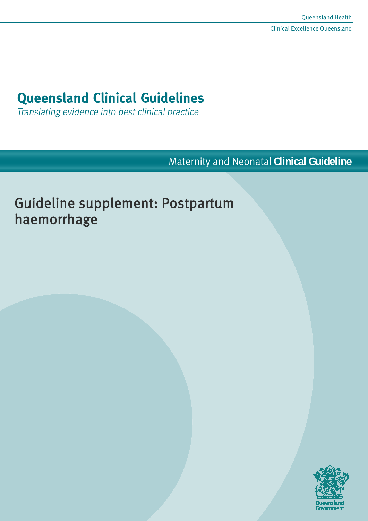# **Queensland Clinical Guidelines**

Translating evidence into best clinical practice

Maternity and Neonatal **Clinical Guideline**

# Guideline supplement: Postpartum haemorrhage

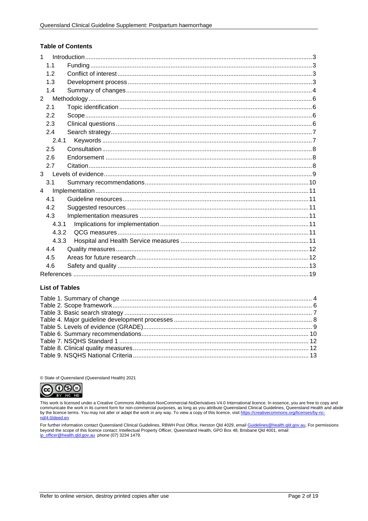#### **Table of Contents**

| $\mathbf{1}$   |                |  |  |  |  |
|----------------|----------------|--|--|--|--|
|                | 1.1            |  |  |  |  |
|                | 1.2            |  |  |  |  |
|                | 1.3            |  |  |  |  |
|                | 1.4            |  |  |  |  |
| $\overline{2}$ |                |  |  |  |  |
|                | 2.1            |  |  |  |  |
|                | 2.2            |  |  |  |  |
|                | 2.3            |  |  |  |  |
|                | 2.4            |  |  |  |  |
|                | 2.4.1          |  |  |  |  |
|                | 2.5            |  |  |  |  |
|                | 2.6            |  |  |  |  |
|                | 2.7            |  |  |  |  |
|                | 3 <sup>1</sup> |  |  |  |  |
|                | 3.1            |  |  |  |  |
| $\overline{4}$ |                |  |  |  |  |
|                | 41             |  |  |  |  |
|                | 4.2            |  |  |  |  |
|                | 4.3            |  |  |  |  |
|                | 4.3.1          |  |  |  |  |
|                | 4.3.2          |  |  |  |  |
|                | 4.3.3          |  |  |  |  |
|                | 4.4            |  |  |  |  |
|                | 4.5            |  |  |  |  |
|                | 4.6            |  |  |  |  |
|                |                |  |  |  |  |

#### **List of Tables**

© State of Queensland (Queensland Health) 2021



This work is licensed under a Creative Commons Attribution-NonCommercial-NoDerivatives V4.0 International licence. In essence, you are free to copy and communicate the work in its current form for non-commercial purposes, as long as you attribute Queensland Clinical Guidelines, Queensland Health and abide by the licence terms. You may not alter or adapt the work in any way. To view a copy of this licence, visit https://creativecommons.org/licenses/by-no nd/4.0/deed.en

For further information contact Queensland Clinical Guidelines, RBWH Post Office, Herston Qld 4029, email Guidelines@health.qld.gov.au, For permissions beyond the scope of this licence contact: Intellectual Property Officer, Queensland Health, GPO Box 48, Brisbane Qld 4001, email in officer @health.gld.gov.au phone (07) 3234 1479.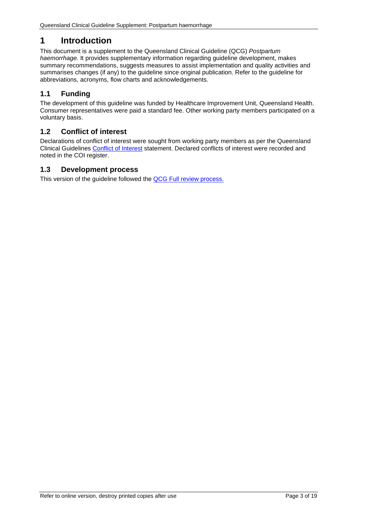# <span id="page-2-0"></span>**1 Introduction**

This document is a supplement to the Queensland Clinical Guideline (QCG) *Postpartum haemorrhage.* It provides supplementary information regarding guideline development, makes summary recommendations, suggests measures to assist implementation and quality activities and summarises changes (if any) to the guideline since original publication. Refer to the guideline for abbreviations, acronyms, flow charts and acknowledgements.

# <span id="page-2-1"></span>**1.1 Funding**

The development of this guideline was funded by Healthcare Improvement Unit, Queensland Health. Consumer representatives were paid a standard fee. Other working party members participated on a voluntary basis.

# <span id="page-2-2"></span>**1.2 Conflict of interest**

Declarations of conflict of interest were sought from working party members as per the Queensland Clinical Guidelines [Conflict of Interest](http://www.health.qld.gov.au/qcg/development#coi) statement. Declared conflicts of interest were recorded and noted in the COI register.

## <span id="page-2-3"></span>**1.3 Development process**

This version of the guideline followed the [QCG Full review](https://www.health.qld.gov.au/__data/assets/pdf_file/0025/364723/o-developprocess.pdf) process.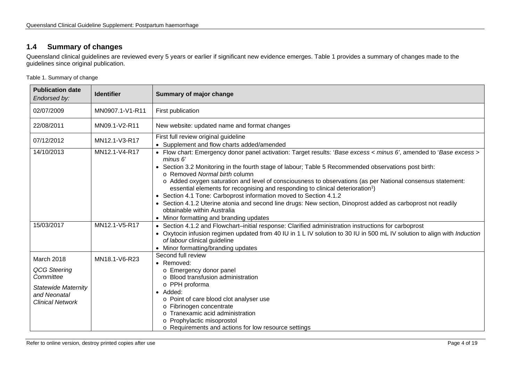# **1.4 Summary of changes**

Queensland clinical guidelines are reviewed every 5 years or earlier if significant new evidence emerges. [Table 1](#page-3-2) provides a summary of changes made to the guidelines since original publication.

<span id="page-3-2"></span>Table 1. Summary of change

<span id="page-3-1"></span><span id="page-3-0"></span>

| <b>Publication date</b><br>Endorsed by:                                                                                                                                                                                                                                    | <b>Identifier</b> | Summary of major change                                                                                                                                                                                                                                                                                                                                                                                                                                                                             |  |  |
|----------------------------------------------------------------------------------------------------------------------------------------------------------------------------------------------------------------------------------------------------------------------------|-------------------|-----------------------------------------------------------------------------------------------------------------------------------------------------------------------------------------------------------------------------------------------------------------------------------------------------------------------------------------------------------------------------------------------------------------------------------------------------------------------------------------------------|--|--|
| 02/07/2009<br>MN0907.1-V1-R11                                                                                                                                                                                                                                              |                   | First publication                                                                                                                                                                                                                                                                                                                                                                                                                                                                                   |  |  |
| 22/08/2011                                                                                                                                                                                                                                                                 | MN09.1-V2-R11     | New website: updated name and format changes                                                                                                                                                                                                                                                                                                                                                                                                                                                        |  |  |
| First full review original guideline<br>07/12/2012<br>MN12.1-V3-R17                                                                                                                                                                                                        |                   | • Supplement and flow charts added/amended                                                                                                                                                                                                                                                                                                                                                                                                                                                          |  |  |
| 14/10/2013<br>MN12.1-V4-R17<br>minus 6'<br>o Removed Normal birth column<br>essential elements for recognising and responding to clinical deterioration <sup>1</sup> )<br>• Section 4.1 Tone: Carboprost information moved to Section 4.1.2<br>obtainable within Australia |                   | • Flow chart: Emergency donor panel activation: Target results: 'Base excess < minus 6', amended to 'Base excess ><br>• Section 3.2 Monitoring in the fourth stage of labour; Table 5 Recommended observations post birth:<br>o Added oxygen saturation and level of consciousness to observations (as per National consensus statement:<br>• Section 4.1.2 Uterine atonia and second line drugs: New section, Dinoprost added as carboprost not readily<br>• Minor formatting and branding updates |  |  |
| 15/03/2017                                                                                                                                                                                                                                                                 | MN12.1-V5-R17     | • Section 4.1.2 and Flowchart-initial response: Clarified administration instructions for carboprost<br>• Oxytocin infusion regimen updated from 40 IU in 1 L IV solution to 30 IU in 500 mL IV solution to align with Induction<br>of labour clinical guideline<br>• Minor formatting/branding updates                                                                                                                                                                                             |  |  |
| March 2018<br>QCG Steering<br>Committee<br><b>Statewide Maternity</b><br>and Neonatal<br><b>Clinical Network</b>                                                                                                                                                           | MN18.1-V6-R23     | Second full review<br>• Removed:<br>o Emergency donor panel<br>o Blood transfusion administration<br>o PPH proforma<br>• Added:<br>o Point of care blood clot analyser use<br>Fibrinogen concentrate<br>Tranexamic acid administration<br>Prophylactic misoprostol<br>o Requirements and actions for low resource settings                                                                                                                                                                          |  |  |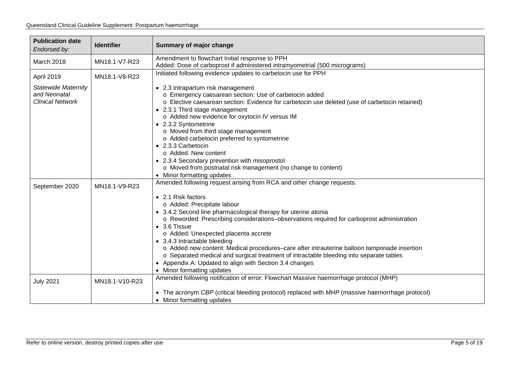| <b>Publication date</b><br><b>Identifier</b><br>Endorsed by: |               | <b>Summary of major change</b>                                                                  |  |  |
|--------------------------------------------------------------|---------------|-------------------------------------------------------------------------------------------------|--|--|
| MN18.1-V7-R23<br>March 2018                                  |               | Amendment to flowchart Initial response to PPH                                                  |  |  |
|                                                              |               | Added: Dose of carboprost if administered intramyometrial (500 micrograms)                      |  |  |
| April 2019                                                   | MN18.1-V8-R23 | Initiated following evidence updates to carbetocin use for PPH                                  |  |  |
| <b>Statewide Maternity</b>                                   |               | • 2.3 Intrapartum risk management                                                               |  |  |
| and Neonatal                                                 |               | o Emergency caesarean section: Use of carbetocin added                                          |  |  |
| <b>Clinical Network</b>                                      |               | o Elective caesarean section: Evidence for carbetocin use deleted (use of carbetocin retained)  |  |  |
| • 2.3.1 Third stage management                               |               |                                                                                                 |  |  |
|                                                              |               | o Added new evidence for oxytocin IV versus IM                                                  |  |  |
|                                                              |               | • 2.3.2 Syntometrine                                                                            |  |  |
|                                                              |               | o Moved from third stage management                                                             |  |  |
|                                                              |               | o Added carbetocin preferred to syntometrine                                                    |  |  |
|                                                              |               | • 2.3.3 Carbetocin                                                                              |  |  |
|                                                              |               | o Added. New content                                                                            |  |  |
|                                                              |               | • 2.3.4 Secondary prevention with misoprostol                                                   |  |  |
|                                                              |               | o Moved from postnatal risk management (no change to content)                                   |  |  |
|                                                              |               | • Minor formatting updates                                                                      |  |  |
| MN18.1-V9-R23<br>September 2020                              |               | Amended following request arising from RCA and other change requests.                           |  |  |
|                                                              |               | • 2.1 Risk factors                                                                              |  |  |
|                                                              |               | o Added: Precipitate labour                                                                     |  |  |
|                                                              |               | • 3.4.2 Second line pharmacological therapy for uterine atonia                                  |  |  |
|                                                              |               | o Reworded: Prescribing considerations-observations required for carboprost administration      |  |  |
|                                                              |               | $\bullet$ 3.6 Tissue                                                                            |  |  |
|                                                              |               | o Added: Unexpected placenta accrete                                                            |  |  |
|                                                              |               | • 3.4.3 Intractable bleeding                                                                    |  |  |
|                                                              |               | o Added new content: Medical procedures-care after intrauterine balloon tamponade insertion     |  |  |
|                                                              |               | o Separated medical and surgical treatment of intractable bleeding into separate tables         |  |  |
|                                                              |               | • Appendix A: Updated to align with Section 3.4 changes                                         |  |  |
|                                                              |               | • Minor formatting updates                                                                      |  |  |
| <b>July 2021</b><br>MN18.1-V10-R23                           |               | Amended following notification of error: Flowchart Massive haemorrhage protocol (MHP)           |  |  |
|                                                              |               | • The acronym CBP (critical bleeding protocol) replaced with MHP (massive haemorrhage protocol) |  |  |
|                                                              |               | • Minor formatting updates                                                                      |  |  |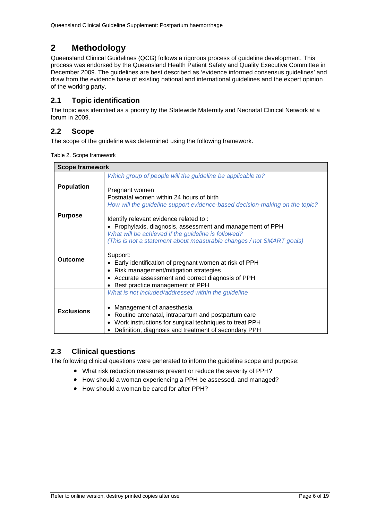# <span id="page-5-0"></span>**2 Methodology**

Queensland Clinical Guidelines (QCG) follows a rigorous process of guideline development. This process was endorsed by the Queensland Health Patient Safety and Quality Executive Committee in December 2009. The guidelines are best described as 'evidence informed consensus guidelines' and draw from the evidence base of existing national and international guidelines and the expert opinion of the working party.

# <span id="page-5-1"></span>**2.1 Topic identification**

The topic was identified as a priority by the Statewide Maternity and Neonatal Clinical Network at a forum in 2009.

# <span id="page-5-2"></span>**2.2 Scope**

<span id="page-5-4"></span>The scope of the guideline was determined using the following framework.

| Table 2. Scope framework |
|--------------------------|
|--------------------------|

| <b>Scope framework</b> |                                                                                                                                                                                                                                                          |  |  |  |
|------------------------|----------------------------------------------------------------------------------------------------------------------------------------------------------------------------------------------------------------------------------------------------------|--|--|--|
|                        | Which group of people will the guideline be applicable to?                                                                                                                                                                                               |  |  |  |
| <b>Population</b>      | Pregnant women<br>Postnatal women within 24 hours of birth                                                                                                                                                                                               |  |  |  |
|                        | How will the guideline support evidence-based decision-making on the topic?                                                                                                                                                                              |  |  |  |
| <b>Purpose</b>         | Identify relevant evidence related to:<br>Prophylaxis, diagnosis, assessment and management of PPH                                                                                                                                                       |  |  |  |
|                        | What will be achieved if the guideline is followed?                                                                                                                                                                                                      |  |  |  |
|                        | (This is not a statement about measurable changes / not SMART goals)                                                                                                                                                                                     |  |  |  |
| Outcome                | Support:<br>Early identification of pregnant women at risk of PPH<br>Risk management/mitigation strategies<br>• Accurate assessment and correct diagnosis of PPH<br>• Best practice management of PPH                                                    |  |  |  |
| <b>Exclusions</b>      | What is not included/addressed within the guideline<br>Management of anaesthesia<br>Routine antenatal, intrapartum and postpartum care<br>Work instructions for surgical techniques to treat PPH<br>Definition, diagnosis and treatment of secondary PPH |  |  |  |

# <span id="page-5-3"></span>**2.3 Clinical questions**

The following clinical questions were generated to inform the guideline scope and purpose:

- What risk reduction measures prevent or reduce the severity of PPH?
- How should a woman experiencing a PPH be assessed, and managed?
- How should a woman be cared for after PPH?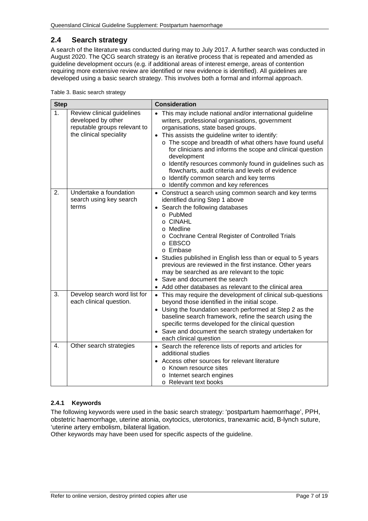# <span id="page-6-0"></span>**2.4 Search strategy**

A search of the literature was conducted during may to July 2017. A further search was conducted in August 2020. The QCG search strategy is an iterative process that is repeated and amended as guideline development occurs (e.g. if additional areas of interest emerge, areas of contention requiring more extensive review are identified or new evidence is identified). All guidelines are developed using a basic search strategy. This involves both a formal and informal approach.

<span id="page-6-2"></span>

|  |  | Table 3. Basic search strategy |
|--|--|--------------------------------|
|  |  |                                |

| <b>Step</b>                                                                                                                   |                                                            | <b>Consideration</b>                                                                                                                                                                                                                                                                                                                                                                                                                                                                                                                               |  |
|-------------------------------------------------------------------------------------------------------------------------------|------------------------------------------------------------|----------------------------------------------------------------------------------------------------------------------------------------------------------------------------------------------------------------------------------------------------------------------------------------------------------------------------------------------------------------------------------------------------------------------------------------------------------------------------------------------------------------------------------------------------|--|
| 1 <sub>1</sub><br>Review clinical guidelines<br>developed by other<br>reputable groups relevant to<br>the clinical speciality |                                                            | This may include national and/or international guideline<br>writers, professional organisations, government<br>organisations, state based groups.<br>• This assists the guideline writer to identify:<br>o The scope and breadth of what others have found useful<br>for clinicians and informs the scope and clinical question<br>development<br>o Identify resources commonly found in guidelines such as<br>flowcharts, audit criteria and levels of evidence<br>o Identify common search and key terms<br>o Identify common and key references |  |
| 2.                                                                                                                            | Undertake a foundation<br>search using key search<br>terms | • Construct a search using common search and key terms<br>identified during Step 1 above<br>• Search the following databases<br>o PubMed<br>o CINAHL<br>o Medline<br>o Cochrane Central Register of Controlled Trials<br>o EBSCO<br>o Embase<br>Studies published in English less than or equal to 5 years<br>previous are reviewed in the first instance. Other years<br>may be searched as are relevant to the topic<br>Save and document the search                                                                                             |  |
| 3.<br>Develop search word list for<br>each clinical question.                                                                 |                                                            | • Add other databases as relevant to the clinical area<br>• This may require the development of clinical sub-questions<br>beyond those identified in the initial scope.<br>• Using the foundation search performed at Step 2 as the<br>baseline search framework, refine the search using the<br>specific terms developed for the clinical question<br>• Save and document the search strategy undertaken for<br>each clinical question                                                                                                            |  |
| $\overline{4}$ .                                                                                                              | Other search strategies                                    | • Search the reference lists of reports and articles for<br>additional studies<br>• Access other sources for relevant literature<br>o Known resource sites<br>o Internet search engines<br>o Relevant text books                                                                                                                                                                                                                                                                                                                                   |  |

#### <span id="page-6-1"></span>**2.4.1 Keywords**

The following keywords were used in the basic search strategy: 'postpartum haemorrhage', PPH, obstetric haemorrhage, uterine atonia, oxytocics, uterotonics, tranexamic acid, B-lynch suture, 'uterine artery embolism, bilateral ligation.

Other keywords may have been used for specific aspects of the guideline.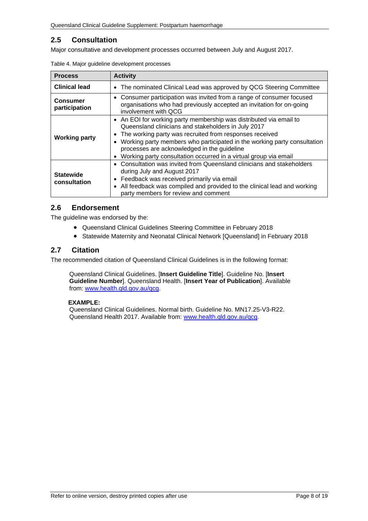# <span id="page-7-0"></span>**2.5 Consultation**

<span id="page-7-3"></span>Major consultative and development processes occurred between July and August 2017.

| <b>Process</b>                   | <b>Activity</b>                                                                                                                                                                                                                                                                                                                                                                                                            |  |  |
|----------------------------------|----------------------------------------------------------------------------------------------------------------------------------------------------------------------------------------------------------------------------------------------------------------------------------------------------------------------------------------------------------------------------------------------------------------------------|--|--|
| <b>Clinical lead</b>             | The nominated Clinical Lead was approved by QCG Steering Committee<br>$\bullet$                                                                                                                                                                                                                                                                                                                                            |  |  |
| <b>Consumer</b><br>participation | • Consumer participation was invited from a range of consumer focused<br>organisations who had previously accepted an invitation for on-going<br>involvement with QCG                                                                                                                                                                                                                                                      |  |  |
| <b>Working party</b>             | • An EOI for working party membership was distributed via email to<br>Queensland clinicians and stakeholders in July 2017<br>The working party was recruited from responses received<br>$\bullet$<br>Working party members who participated in the working party consultation<br>$\bullet$<br>processes are acknowledged in the guideline<br>Working party consultation occurred in a virtual group via email<br>$\bullet$ |  |  |
| <b>Statewide</b><br>consultation | • Consultation was invited from Queensland clinicians and stakeholders<br>during July and August 2017<br>Feedback was received primarily via email<br>All feedback was compiled and provided to the clinical lead and working<br>$\bullet$<br>party members for review and comment                                                                                                                                         |  |  |

Table 4. Major guideline development processes

#### <span id="page-7-1"></span>**2.6 Endorsement**

The guideline was endorsed by the:

- Queensland Clinical Guidelines Steering Committee in February 2018
- Statewide Maternity and Neonatal Clinical Network [Queensland] in February 2018

#### <span id="page-7-2"></span>**2.7 Citation**

The recommended citation of Queensland Clinical Guidelines is in the following format:

Queensland Clinical Guidelines. [**Insert Guideline Title**]. Guideline No. [**Insert Guideline Number**]. Queensland Health. [**Insert Year of Publication**]. Available from: [www.health.qld.gov.au/qcg.](http://www.health.qld.gov.au/qcg)

#### **EXAMPLE:**

Queensland Clinical Guidelines. Normal birth. Guideline No. MN17.25-V3-R22. Queensland Health 2017. Available from: [www.health.qld.gov.au/qcg.](http://www.health.qld.gov.au/qcg)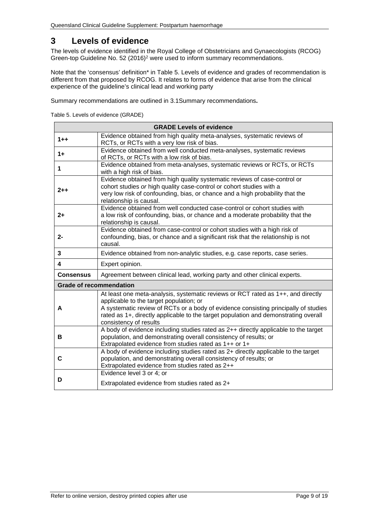# <span id="page-8-0"></span>**3 Levels of evidence**

<span id="page-8-2"></span>The levels of evidence identified in the Royal College of Obstetricians and Gynaecologists (RCOG) Green-top Guideline No. 52 (2016)<sup>2</sup> were used to inform summary recommendations.

Note that the 'consensus' definition\* in Table 5. Levels of evidence and grades of recommendation is different from that proposed by RCOG. It relates to forms of evidence that arise from the clinical experience of the guideline's clinical lead and working party

<span id="page-8-1"></span>Summary recommendations are outlined in [3.1Summary recommendations](#page-9-0)**.**

Table 5. Levels of evidence (GRADE)

| <b>GRADE Levels of evidence</b> |                                                                                                                                                                                                                                                                                                                                     |  |  |
|---------------------------------|-------------------------------------------------------------------------------------------------------------------------------------------------------------------------------------------------------------------------------------------------------------------------------------------------------------------------------------|--|--|
| $1 + +$                         | Evidence obtained from high quality meta-analyses, systematic reviews of<br>RCTs, or RCTs with a very low risk of bias.                                                                                                                                                                                                             |  |  |
| $1+$                            | Evidence obtained from well conducted meta-analyses, systematic reviews<br>of RCTs, or RCTs with a low risk of bias.                                                                                                                                                                                                                |  |  |
| 1                               | Evidence obtained from meta-analyses, systematic reviews or RCTs, or RCTs<br>with a high risk of bias.                                                                                                                                                                                                                              |  |  |
| $2 + +$                         | Evidence obtained from high quality systematic reviews of case-control or<br>cohort studies or high quality case-control or cohort studies with a<br>very low risk of confounding, bias, or chance and a high probability that the<br>relationship is causal.                                                                       |  |  |
| $2+$                            | Evidence obtained from well conducted case-control or cohort studies with<br>a low risk of confounding, bias, or chance and a moderate probability that the<br>relationship is causal.                                                                                                                                              |  |  |
| $2 -$                           | Evidence obtained from case-control or cohort studies with a high risk of<br>confounding, bias, or chance and a significant risk that the relationship is not<br>causal.                                                                                                                                                            |  |  |
| 3                               | Evidence obtained from non-analytic studies, e.g. case reports, case series.                                                                                                                                                                                                                                                        |  |  |
| 4                               | Expert opinion.                                                                                                                                                                                                                                                                                                                     |  |  |
| <b>Consensus</b>                | Agreement between clinical lead, working party and other clinical experts.                                                                                                                                                                                                                                                          |  |  |
| <b>Grade of recommendation</b>  |                                                                                                                                                                                                                                                                                                                                     |  |  |
| A                               | At least one meta-analysis, systematic reviews or RCT rated as 1++, and directly<br>applicable to the target population; or<br>A systematic review of RCTs or a body of evidence consisting principally of studies<br>rated as 1+, directly applicable to the target population and demonstrating overall<br>consistency of results |  |  |
| в                               | A body of evidence including studies rated as 2++ directly applicable to the target<br>population, and demonstrating overall consistency of results; or<br>Extrapolated evidence from studies rated as 1++ or 1+                                                                                                                    |  |  |
| C                               | A body of evidence including studies rated as 2+ directly applicable to the target<br>population, and demonstrating overall consistency of results; or<br>Extrapolated evidence from studies rated as 2++                                                                                                                           |  |  |
| D                               | Evidence level 3 or 4; or<br>Extrapolated evidence from studies rated as 2+                                                                                                                                                                                                                                                         |  |  |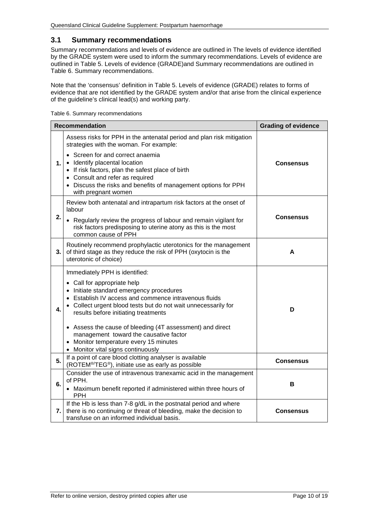#### <span id="page-9-0"></span>**3.1 Summary recommendations**

Summary recommendations and levels of evidence are outlined in [The levels of evidence identified](#page-8-2)  [by the GRADE system were used to inform the summary recommendations. Levels of evidence are](#page-8-2)  [outlined in Table 5. Levels of evidence \(GRADE\)and Summary recommendations are outlined in](#page-8-2)  Table 6. [Summary recommendations.](#page-9-1)

Note that the 'consensus' definition in [Table 5. Levels of evidence \(GRADE\)](#page-8-2) relates to forms of evidence that are not identified by the GRADE system and/or that arise from the clinical experience [of the guideline's clinical lead\(s\) and working party.](#page-8-2)

<span id="page-9-1"></span>

| Table 6. Summary recommendations |  |
|----------------------------------|--|
|----------------------------------|--|

|    | <b>Recommendation</b>                                                                                                                                                                                                                                                                                                                                                                                                                                               | <b>Grading of evidence</b> |
|----|---------------------------------------------------------------------------------------------------------------------------------------------------------------------------------------------------------------------------------------------------------------------------------------------------------------------------------------------------------------------------------------------------------------------------------------------------------------------|----------------------------|
|    | Assess risks for PPH in the antenatal period and plan risk mitigation<br>strategies with the woman. For example:                                                                                                                                                                                                                                                                                                                                                    |                            |
| 1. | • Screen for and correct anaemia<br>• Identify placental location<br>• If risk factors, plan the safest place of birth<br>• Consult and refer as required<br>• Discuss the risks and benefits of management options for PPH<br>with pregnant women                                                                                                                                                                                                                  | <b>Consensus</b>           |
| 2. | Review both antenatal and intrapartum risk factors at the onset of<br>labour<br>• Regularly review the progress of labour and remain vigilant for<br>risk factors predisposing to uterine atony as this is the most                                                                                                                                                                                                                                                 | <b>Consensus</b>           |
| 3. | common cause of PPH<br>Routinely recommend prophylactic uterotonics for the management<br>of third stage as they reduce the risk of PPH (oxytocin is the                                                                                                                                                                                                                                                                                                            | A                          |
|    | uterotonic of choice)                                                                                                                                                                                                                                                                                                                                                                                                                                               |                            |
| 4. | Immediately PPH is identified:<br>• Call for appropriate help<br>• Initiate standard emergency procedures<br>• Establish IV access and commence intravenous fluids<br>• Collect urgent blood tests but do not wait unnecessarily for<br>results before initiating treatments<br>• Assess the cause of bleeding (4T assessment) and direct<br>management toward the causative factor<br>• Monitor temperature every 15 minutes<br>• Monitor vital signs continuously | D                          |
| 5. | If a point of care blood clotting analyser is available<br>(ROTEM <sup>®/</sup> TEG®), initiate use as early as possible                                                                                                                                                                                                                                                                                                                                            | <b>Consensus</b>           |
| 6. | Consider the use of intravenous tranexamic acid in the management<br>of PPH.<br>• Maximum benefit reported if administered within three hours of<br><b>PPH</b>                                                                                                                                                                                                                                                                                                      | в                          |
| 7. | If the Hb is less than 7-8 g/dL in the postnatal period and where<br>there is no continuing or threat of bleeding, make the decision to<br>transfuse on an informed individual basis.                                                                                                                                                                                                                                                                               | <b>Consensus</b>           |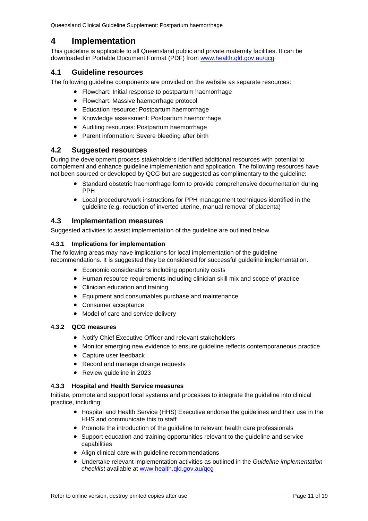# <span id="page-10-0"></span>**4 Implementation**

This guideline is applicable to all Queensland public and private maternity facilities. It can be downloaded in Portable Document Format (PDF) from [www.health.qld.gov.au/qcg](http://www.health.qld.gov.au/qcg)

#### <span id="page-10-1"></span>**4.1 Guideline resources**

The following guideline components are provided on the website as separate resources:

- Flowchart: Initial response to postpartum haemorrhage
- Flowchart: Massive haemorrhage protocol
- Education resource: Postpartum haemorrhage
- Knowledge assessment: Postpartum haemorrhage
- Auditing resources: Postpartum haemorrhage
- Parent information: Severe bleeding after birth

#### <span id="page-10-2"></span>**4.2 Suggested resources**

During the development process stakeholders identified additional resources with potential to complement and enhance guideline implementation and application. The following resources have not been sourced or developed by QCG but are suggested as complimentary to the guideline:

- Standard obstetric haemorrhage form to provide comprehensive documentation during PPH
- Local procedure/work instructions for PPH management techniques identified in the guideline (e.g. reduction of inverted uterine, manual removal of placenta)

#### <span id="page-10-3"></span>**4.3 Implementation measures**

Suggested activities to assist implementation of the guideline are outlined below.

#### <span id="page-10-4"></span>**4.3.1 Implications for implementation**

The following areas may have implications for local implementation of the guideline recommendations. It is suggested they be considered for successful guideline implementation.

- Economic considerations including opportunity costs
- Human resource requirements including clinician skill mix and scope of practice
- Clinician education and training
- Equipment and consumables purchase and maintenance
- Consumer acceptance
- Model of care and service delivery

#### <span id="page-10-5"></span>**4.3.2 QCG measures**

- Notify Chief Executive Officer and relevant stakeholders
- Monitor emerging new evidence to ensure guideline reflects contemporaneous practice
- Capture user feedback
- Record and manage change requests
- Review guideline in 2023

#### <span id="page-10-6"></span>**4.3.3 Hospital and Health Service measures**

Initiate, promote and support local systems and processes to integrate the guideline into clinical practice, including:

- Hospital and Health Service (HHS) Executive endorse the guidelines and their use in the HHS and communicate this to staff
- Promote the introduction of the guideline to relevant health care professionals
- Support education and training opportunities relevant to the guideline and service capabilities
- Align clinical care with guideline recommendations
- Undertake relevant implementation activities as outlined in the *Guideline implementation checklist* available at [www.health.qld.gov.au/qcg](http://www.health.qld.gov.au/qcg)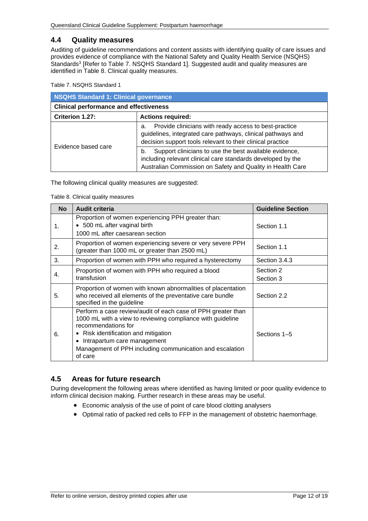#### <span id="page-11-0"></span>**4.4 Quality measures**

Auditing of guideline recommendations and content assists with identifying quality of care issues and provides evidence of compliance with the National Safety and Quality Health Service (NSQHS) Standards<sup>3</sup> [Refer to Table 7. [NSQHS Standard 1\]](#page-11-2). Suggested audit and quality measures are identified in [Table 8. Clinical quality measures.](#page-11-3)

<span id="page-11-2"></span>Table 7. NSQHS Standard 1

| <b>NSQHS Standard 1: Clinical governance</b>  |                                                                                                                                                                                           |  |
|-----------------------------------------------|-------------------------------------------------------------------------------------------------------------------------------------------------------------------------------------------|--|
| <b>Clinical performance and effectiveness</b> |                                                                                                                                                                                           |  |
| Criterion 1.27:                               | <b>Actions required:</b>                                                                                                                                                                  |  |
| Evidence based care                           | Provide clinicians with ready access to best-practice<br>а.<br>guidelines, integrated care pathways, clinical pathways and<br>decision support tools relevant to their clinical practice  |  |
|                                               | Support clinicians to use the best available evidence,<br>b.<br>including relevant clinical care standards developed by the<br>Australian Commission on Safety and Quality in Health Care |  |

<span id="page-11-3"></span>The following clinical quality measures are suggested:

Table 8. Clinical quality measures

| <b>No</b> | <b>Audit criteria</b>                                                                                                                                                                                                                                                                                      | <b>Guideline Section</b> |
|-----------|------------------------------------------------------------------------------------------------------------------------------------------------------------------------------------------------------------------------------------------------------------------------------------------------------------|--------------------------|
| 1.        | Proportion of women experiencing PPH greater than:<br>• 500 mL after vaginal birth<br>1000 mL after caesarean section                                                                                                                                                                                      | Section 1.1              |
| 2.        | Proportion of women experiencing severe or very severe PPH<br>(greater than 1000 mL or greater than 2500 mL)                                                                                                                                                                                               | Section 1.1              |
| 3.        | Proportion of women with PPH who required a hysterectomy                                                                                                                                                                                                                                                   | Section 3.4.3            |
| 4.        | Proportion of women with PPH who required a blood<br>transfusion                                                                                                                                                                                                                                           | Section 2<br>Section 3   |
| 5.        | Proportion of women with known abnormalities of placentation<br>who received all elements of the preventative care bundle<br>specified in the guideline                                                                                                                                                    | Section 2.2              |
| 6.        | Perform a case review/audit of each case of PPH greater than<br>1000 mL with a view to reviewing compliance with guideline<br>recommendations for<br>Risk identification and mitigation<br>Intrapartum care management<br>$\bullet$<br>Management of PPH including communication and escalation<br>of care | Sections 1-5             |

## <span id="page-11-1"></span>**4.5 Areas for future research**

During development the following areas where identified as having limited or poor quality evidence to inform clinical decision making. Further research in these areas may be useful.

- Economic analysis of the use of point of care blood clotting analysers
- Optimal ratio of packed red cells to FFP in the management of obstetric haemorrhage.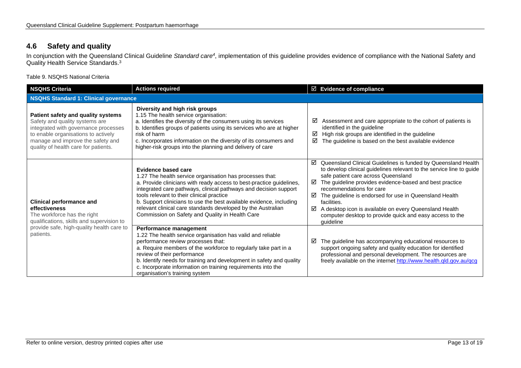# **4.6 Safety and quality**

In conjunction with the Queensland Clinical Guideline *Standard care4*, implementation of this guideline provides evidence of compliance with the National Safety and Quality Health Service Standards.<sup>3</sup>

Table 9. NSQHS National Criteria

<span id="page-12-1"></span><span id="page-12-0"></span>

| <b>NSQHS Criteria</b><br><b>Actions required</b>                                                                                                                                                                                 |                                                                                                                                                                                                                                                                                                                                                                                                                                                                           | $\boxtimes$ Evidence of compliance                                                                                                                                                                                                                                                                                                                                                                                                                                                                  |  |
|----------------------------------------------------------------------------------------------------------------------------------------------------------------------------------------------------------------------------------|---------------------------------------------------------------------------------------------------------------------------------------------------------------------------------------------------------------------------------------------------------------------------------------------------------------------------------------------------------------------------------------------------------------------------------------------------------------------------|-----------------------------------------------------------------------------------------------------------------------------------------------------------------------------------------------------------------------------------------------------------------------------------------------------------------------------------------------------------------------------------------------------------------------------------------------------------------------------------------------------|--|
| <b>NSQHS Standard 1: Clinical governance</b>                                                                                                                                                                                     |                                                                                                                                                                                                                                                                                                                                                                                                                                                                           |                                                                                                                                                                                                                                                                                                                                                                                                                                                                                                     |  |
| Patient safety and quality systems<br>Safety and quality systems are<br>integrated with governance processes<br>to enable organisations to actively<br>manage and improve the safety and<br>quality of health care for patients. | Diversity and high risk groups<br>1.15 The health service organisation:<br>a. Identifies the diversity of the consumers using its services<br>b. Identifies groups of patients using its services who are at higher<br>risk of harm<br>c. Incorporates information on the diversity of its consumers and<br>higher-risk groups into the planning and delivery of care                                                                                                     | Assessment and care appropriate to the cohort of patients is<br>⊠<br>identified in the guideline<br>High risk groups are identified in the guideline<br>☑<br>The guideline is based on the best available evidence<br>☑                                                                                                                                                                                                                                                                             |  |
| <b>Clinical performance and</b><br>effectiveness<br>The workforce has the right<br>qualifications, skills and supervision to<br>provide safe, high-quality health care to<br>patients.                                           | <b>Evidence based care</b><br>1.27 The health service organisation has processes that:<br>a. Provide clinicians with ready access to best-practice guidelines,<br>integrated care pathways, clinical pathways and decision support<br>tools relevant to their clinical practice<br>b. Support clinicians to use the best available evidence, including<br>relevant clinical care standards developed by the Australian<br>Commission on Safety and Quality in Health Care | Queensland Clinical Guidelines is funded by Queensland Health<br>☑<br>to develop clinical guidelines relevant to the service line to guide<br>safe patient care across Queensland<br>The guideline provides evidence-based and best practice<br>☑<br>recommendations for care<br>☑<br>The guideline is endorsed for use in Queensland Health<br>facilities.<br>☑<br>A desktop icon is available on every Queensland Health<br>computer desktop to provide quick and easy access to the<br>guideline |  |
|                                                                                                                                                                                                                                  | Performance management<br>1.22 The health service organisation has valid and reliable<br>performance review processes that:<br>a. Require members of the workforce to regularly take part in a<br>review of their performance<br>b. Identify needs for training and development in safety and quality<br>c. Incorporate information on training requirements into the<br>organisation's training system                                                                   | The guideline has accompanying educational resources to<br>☑<br>support ongoing safety and quality education for identified<br>professional and personal development. The resources are<br>freely available on the internet http://www.health.qld.gov.au/qcg                                                                                                                                                                                                                                        |  |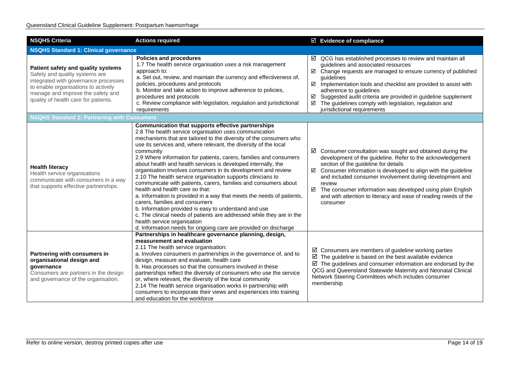| <b>NSQHS Criteria</b>                                                                                                                                                                                                            | <b>Actions required</b>                                                                                                                                                                                                                                                                                                                                                                                                                                                                                                                                                                                                                                                                                                                                                                                                                                                                                                                                                                                |        | $\boxtimes$ Evidence of compliance                                                                                                                                                                                                                                                                                                                                                                                                                                         |
|----------------------------------------------------------------------------------------------------------------------------------------------------------------------------------------------------------------------------------|--------------------------------------------------------------------------------------------------------------------------------------------------------------------------------------------------------------------------------------------------------------------------------------------------------------------------------------------------------------------------------------------------------------------------------------------------------------------------------------------------------------------------------------------------------------------------------------------------------------------------------------------------------------------------------------------------------------------------------------------------------------------------------------------------------------------------------------------------------------------------------------------------------------------------------------------------------------------------------------------------------|--------|----------------------------------------------------------------------------------------------------------------------------------------------------------------------------------------------------------------------------------------------------------------------------------------------------------------------------------------------------------------------------------------------------------------------------------------------------------------------------|
| <b>NSQHS Standard 1: Clinical governance</b>                                                                                                                                                                                     |                                                                                                                                                                                                                                                                                                                                                                                                                                                                                                                                                                                                                                                                                                                                                                                                                                                                                                                                                                                                        |        |                                                                                                                                                                                                                                                                                                                                                                                                                                                                            |
| Patient safety and quality systems<br>Safety and quality systems are<br>integrated with governance processes<br>to enable organisations to actively<br>manage and improve the safety and<br>quality of health care for patients. | <b>Policies and procedures</b><br>1.7 The health service organisation uses a risk management<br>approach to:<br>a. Set out, review, and maintain the currency and effectiveness of,<br>policies, procedures and protocols<br>b. Monitor and take action to improve adherence to policies,<br>procedures and protocols<br>c. Review compliance with legislation, regulation and jurisdictional<br>requirements                                                                                                                                                                                                                                                                                                                                                                                                                                                                                                                                                                                          | ☑<br>☑ | $\boxtimes$ QCG has established processes to review and maintain all<br>guidelines and associated resources<br>$\boxtimes$ Change requests are managed to ensure currency of published<br>guidelines<br>$\boxtimes$ Implementation tools and checklist are provided to assist with<br>adherence to guidelines<br>Suggested audit criteria are provided in guideline supplement<br>The guidelines comply with legislation, regulation and<br>jurisdictional requirements    |
| <b>NSQHS Standard 2: Partnering with Consumers</b>                                                                                                                                                                               |                                                                                                                                                                                                                                                                                                                                                                                                                                                                                                                                                                                                                                                                                                                                                                                                                                                                                                                                                                                                        |        |                                                                                                                                                                                                                                                                                                                                                                                                                                                                            |
| <b>Health literacy</b><br>Health service organisations<br>communicate with consumers in a way<br>that supports effective partnerships.                                                                                           | <b>Communication that supports effective partnerships</b><br>2.8 The health service organisation uses communication<br>mechanisms that are tailored to the diversity of the consumers who<br>use its services and, where relevant, the diversity of the local<br>community<br>2.9 Where information for patients, carers, families and consumers<br>about health and health services is developed internally, the<br>organisation involves consumers in its development and review<br>2.10 The health service organisation supports clinicians to<br>communicate with patients, carers, families and consumers about<br>health and health care so that:<br>a. Information is provided in a way that meets the needs of patients,<br>carers, families and consumers<br>b. Information provided is easy to understand and use<br>c. The clinical needs of patients are addressed while they are in the<br>health service organisation<br>d. Information needs for ongoing care are provided on discharge | ☑      | $\boxtimes$ Consumer consultation was sought and obtained during the<br>development of the guideline. Refer to the acknowledgement<br>section of the guideline for details<br>$\boxtimes$ Consumer information is developed to align with the guideline<br>and included consumer involvement during development and<br>review<br>The consumer information was developed using plain English<br>and with attention to literacy and ease of reading needs of the<br>consumer |
| Partnering with consumers in<br>organisational design and<br>governance<br>Consumers are partners in the design<br>and governance of the organisation.                                                                           | Partnerships in healthcare governance planning, design,<br>measurement and evaluation<br>2.11 The health service organisation:<br>a. Involves consumers in partnerships in the governance of, and to<br>design, measure and evaluate, health care<br>b. Has processes so that the consumers involved in these<br>partnerships reflect the diversity of consumers who use the service<br>or, where relevant, the diversity of the local community<br>2.14 The health service organisation works in partnership with<br>consumers to incorporate their views and experiences into training<br>and education for the workforce                                                                                                                                                                                                                                                                                                                                                                            |        | $\boxtimes$ Consumers are members of guideline working parties<br>$\boxtimes$ The guideline is based on the best available evidence<br>$\boxtimes$ The guidelines and consumer information are endorsed by the<br>QCG and Queensland Statewide Maternity and Neonatal Clinical<br>Network Steering Committees which includes consumer<br>membership                                                                                                                        |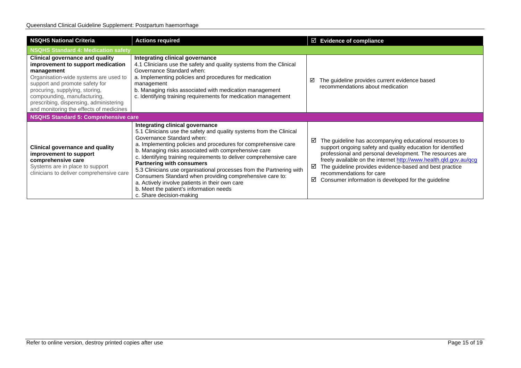| <b>NSQHS National Criteria</b>                                                                                                                                                                                                                                                                                             | <b>Actions required</b>                                                                                                                                                                                                                                                                                                                                                                                                                                                                                                                                                                                                              | $\boxtimes$ Evidence of compliance                                                                                                                                                                                                                                                                                                                                                                                   |  |  |
|----------------------------------------------------------------------------------------------------------------------------------------------------------------------------------------------------------------------------------------------------------------------------------------------------------------------------|--------------------------------------------------------------------------------------------------------------------------------------------------------------------------------------------------------------------------------------------------------------------------------------------------------------------------------------------------------------------------------------------------------------------------------------------------------------------------------------------------------------------------------------------------------------------------------------------------------------------------------------|----------------------------------------------------------------------------------------------------------------------------------------------------------------------------------------------------------------------------------------------------------------------------------------------------------------------------------------------------------------------------------------------------------------------|--|--|
| <b>NSQHS Standard 4: Medication safety</b>                                                                                                                                                                                                                                                                                 |                                                                                                                                                                                                                                                                                                                                                                                                                                                                                                                                                                                                                                      |                                                                                                                                                                                                                                                                                                                                                                                                                      |  |  |
| <b>Clinical governance and quality</b><br>improvement to support medication<br>management<br>Organisation-wide systems are used to<br>support and promote safety for<br>procuring, supplying, storing,<br>compounding, manufacturing,<br>prescribing, dispensing, administering<br>and monitoring the effects of medicines | <b>Integrating clinical governance</b><br>4.1 Clinicians use the safety and quality systems from the Clinical<br>Governance Standard when:<br>a. Implementing policies and procedures for medication<br>management<br>b. Managing risks associated with medication management<br>c. Identifying training requirements for medication management                                                                                                                                                                                                                                                                                      | The guideline provides current evidence based<br>☑<br>recommendations about medication                                                                                                                                                                                                                                                                                                                               |  |  |
| NSQHS Standard 5: Comprehensive care                                                                                                                                                                                                                                                                                       |                                                                                                                                                                                                                                                                                                                                                                                                                                                                                                                                                                                                                                      |                                                                                                                                                                                                                                                                                                                                                                                                                      |  |  |
| <b>Clinical governance and quality</b><br>improvement to support<br>comprehensive care<br>Systems are in place to support<br>clinicians to deliver comprehensive care                                                                                                                                                      | Integrating clinical governance<br>5.1 Clinicians use the safety and quality systems from the Clinical<br>Governance Standard when:<br>a. Implementing policies and procedures for comprehensive care<br>b. Managing risks associated with comprehensive care<br>c. Identifying training requirements to deliver comprehensive care<br><b>Partnering with consumers</b><br>5.3 Clinicians use organisational processes from the Partnering with<br>Consumers Standard when providing comprehensive care to:<br>a. Actively involve patients in their own care<br>b. Meet the patient's information needs<br>c. Share decision-making | The guideline has accompanying educational resources to<br>☑<br>support ongoing safety and quality education for identified<br>professional and personal development. The resources are<br>freely available on the internet http://www.health.qld.gov.au/qcg<br>The guideline provides evidence-based and best practice<br>☑<br>recommendations for care<br>Consumer information is developed for the guideline<br>☑ |  |  |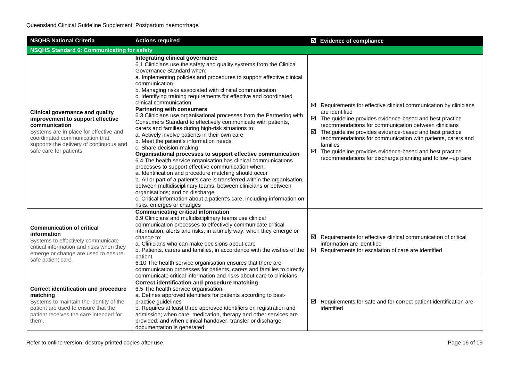| <b>NSQHS National Criteria</b><br><b>Actions required</b>                                                                                                                                                                                     |                                                                                                                                                                                                                                                                                                                                                                                                                                                                                                                                                                                                                                                                                                                                                                                                                                                                                                                                                                                                                                                                                                                                                                                                                                                                                                    | <b>Ø</b> Evidence of compliance                                                                                                                                                                                                                                                                                                                                                                                                                                                                                     |  |  |
|-----------------------------------------------------------------------------------------------------------------------------------------------------------------------------------------------------------------------------------------------|----------------------------------------------------------------------------------------------------------------------------------------------------------------------------------------------------------------------------------------------------------------------------------------------------------------------------------------------------------------------------------------------------------------------------------------------------------------------------------------------------------------------------------------------------------------------------------------------------------------------------------------------------------------------------------------------------------------------------------------------------------------------------------------------------------------------------------------------------------------------------------------------------------------------------------------------------------------------------------------------------------------------------------------------------------------------------------------------------------------------------------------------------------------------------------------------------------------------------------------------------------------------------------------------------|---------------------------------------------------------------------------------------------------------------------------------------------------------------------------------------------------------------------------------------------------------------------------------------------------------------------------------------------------------------------------------------------------------------------------------------------------------------------------------------------------------------------|--|--|
|                                                                                                                                                                                                                                               | <b>NSQHS Standard 6: Communicating for safety</b>                                                                                                                                                                                                                                                                                                                                                                                                                                                                                                                                                                                                                                                                                                                                                                                                                                                                                                                                                                                                                                                                                                                                                                                                                                                  |                                                                                                                                                                                                                                                                                                                                                                                                                                                                                                                     |  |  |
| <b>Clinical governance and quality</b><br>improvement to support effective<br>communication<br>Systems are in place for effective and<br>coordinated communication that<br>supports the delivery of continuous and<br>safe care for patients. | Integrating clinical governance<br>6.1 Clinicians use the safety and quality systems from the Clinical<br>Governance Standard when:<br>a. Implementing policies and procedures to support effective clinical<br>communication<br>b. Managing risks associated with clinical communication<br>c. Identifying training requirements for effective and coordinated<br>clinical communication<br><b>Partnering with consumers</b><br>6.3 Clinicians use organisational processes from the Partnering with<br>Consumers Standard to effectively communicate with patients,<br>carers and families during high-risk situations to:<br>a. Actively involve patients in their own care<br>b. Meet the patient's information needs<br>c. Share decision-making<br>Organisational processes to support effective communication<br>6.4 The health service organisation has clinical communications<br>processes to support effective communication when:<br>a. Identification and procedure matching should occur<br>b. All or part of a patient's care is transferred within the organisation,<br>between multidisciplinary teams, between clinicians or between<br>organisations; and on discharge<br>c. Critical information about a patient's care, including information on<br>risks, emerges or changes | $\boxtimes$ Requirements for effective clinical communication by clinicians<br>are identified<br>$\boxtimes$ The guideline provides evidence-based and best practice<br>recommendations for communication between clinicians<br>$\boxtimes$ The guideline provides evidence-based and best practice<br>recommendations for communication with patients, carers and<br>families<br>$\boxtimes$ The guideline provides evidence-based and best practice<br>recommendations for discharge planning and follow -up care |  |  |
| <b>Communication of critical</b><br>information<br>Systems to effectively communicate<br>critical information and risks when they<br>emerge or change are used to ensure<br>safe patient care.                                                | <b>Communicating critical information</b><br>6.9 Clinicians and multidisciplinary teams use clinical<br>communication processes to effectively communicate critical<br>information, alerts and risks, in a timely way, when they emerge or<br>change to:<br>a. Clinicians who can make decisions about care<br>b. Patients, carers and families, in accordance with the wishes of the<br>patient<br>6.10 The health service organisation ensures that there are<br>communication processes for patients, carers and families to directly<br>communicate critical information and risks about care to clinicians                                                                                                                                                                                                                                                                                                                                                                                                                                                                                                                                                                                                                                                                                    | $\boxtimes$ Requirements for effective clinical communication of critical<br>information are identified<br>$\boxtimes$ Requirements for escalation of care are identified                                                                                                                                                                                                                                                                                                                                           |  |  |
| <b>Correct identification and procedure</b><br>matching<br>Systems to maintain the identity of the<br>patient are used to ensure that the<br>patient receives the care intended for<br>them.                                                  | Correct identification and procedure matching<br>6.5 The health service organisation:<br>a. Defines approved identifiers for patients according to best-<br>practice guidelines<br>b. Requires at least three approved identifiers on registration and<br>admission; when care, medication, therapy and other services are<br>provided; and when clinical handover, transfer or discharge<br>documentation is generated                                                                                                                                                                                                                                                                                                                                                                                                                                                                                                                                                                                                                                                                                                                                                                                                                                                                            | $\boxtimes$ Requirements for safe and for correct patient identification are<br>identified                                                                                                                                                                                                                                                                                                                                                                                                                          |  |  |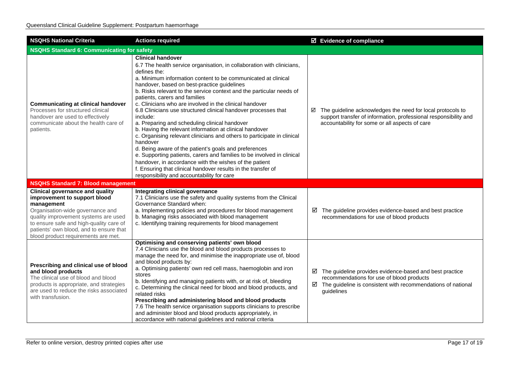| <b>NSQHS National Criteria</b><br><b>Actions required</b>                                                                                                                                                                                                                                     |                                                                                                                                                                                                                                                                                                                                                                                                                                                                                                                                                                                                                                                                                                                                                                                                                                                                                                                                                                                                     | $\boxtimes$ Evidence of compliance                                                                                                                                                                  |  |
|-----------------------------------------------------------------------------------------------------------------------------------------------------------------------------------------------------------------------------------------------------------------------------------------------|-----------------------------------------------------------------------------------------------------------------------------------------------------------------------------------------------------------------------------------------------------------------------------------------------------------------------------------------------------------------------------------------------------------------------------------------------------------------------------------------------------------------------------------------------------------------------------------------------------------------------------------------------------------------------------------------------------------------------------------------------------------------------------------------------------------------------------------------------------------------------------------------------------------------------------------------------------------------------------------------------------|-----------------------------------------------------------------------------------------------------------------------------------------------------------------------------------------------------|--|
| <b>NSQHS Standard 6: Communicating for safety</b>                                                                                                                                                                                                                                             |                                                                                                                                                                                                                                                                                                                                                                                                                                                                                                                                                                                                                                                                                                                                                                                                                                                                                                                                                                                                     |                                                                                                                                                                                                     |  |
| <b>Communicating at clinical handover</b><br>Processes for structured clinical<br>handover are used to effectively<br>communicate about the health care of<br>patients.                                                                                                                       | <b>Clinical handover</b><br>6.7 The health service organisation, in collaboration with clinicians,<br>defines the:<br>a. Minimum information content to be communicated at clinical<br>handover, based on best-practice guidelines<br>b. Risks relevant to the service context and the particular needs of<br>patients, carers and families<br>c. Clinicians who are involved in the clinical handover<br>6.8 Clinicians use structured clinical handover processes that<br>include:<br>a. Preparing and scheduling clinical handover<br>b. Having the relevant information at clinical handover<br>c. Organising relevant clinicians and others to participate in clinical<br>handover<br>d. Being aware of the patient's goals and preferences<br>e. Supporting patients, carers and families to be involved in clinical<br>handover, in accordance with the wishes of the patient<br>f. Ensuring that clinical handover results in the transfer of<br>responsibility and accountability for care | $\boxtimes$ The guideline acknowledges the need for local protocols to<br>support transfer of information, professional responsibility and<br>accountability for some or all aspects of care        |  |
| <b>NSQHS Standard 7: Blood management</b>                                                                                                                                                                                                                                                     |                                                                                                                                                                                                                                                                                                                                                                                                                                                                                                                                                                                                                                                                                                                                                                                                                                                                                                                                                                                                     |                                                                                                                                                                                                     |  |
| <b>Clinical governance and quality</b><br>improvement to support blood<br>management<br>Organisation-wide governance and<br>quality improvement systems are used<br>to ensure safe and high-quality care of<br>patients' own blood, and to ensure that<br>blood product requirements are met. | Integrating clinical governance<br>7.1 Clinicians use the safety and quality systems from the Clinical<br>Governance Standard when:<br>a. Implementing policies and procedures for blood management<br>b. Managing risks associated with blood management<br>c. Identifying training requirements for blood management                                                                                                                                                                                                                                                                                                                                                                                                                                                                                                                                                                                                                                                                              | ☑<br>The guideline provides evidence-based and best practice<br>recommendations for use of blood products                                                                                           |  |
| Prescribing and clinical use of blood<br>and blood products<br>The clinical use of blood and blood<br>products is appropriate, and strategies<br>are used to reduce the risks associated<br>with transfusion.                                                                                 | Optimising and conserving patients' own blood<br>7.4 Clinicians use the blood and blood products processes to<br>manage the need for, and minimise the inappropriate use of, blood<br>and blood products by:<br>a. Optimising patients' own red cell mass, haemoglobin and iron<br>stores<br>b. Identifying and managing patients with, or at risk of, bleeding<br>c. Determining the clinical need for blood and blood products, and<br>related risks<br>Prescribing and administering blood and blood products<br>7.6 The health service organisation supports clinicians to prescribe<br>and administer blood and blood products appropriately, in<br>accordance with national guidelines and national criteria                                                                                                                                                                                                                                                                                  | The guideline provides evidence-based and best practice<br>☑<br>recommendations for use of blood products<br>$\boxtimes$ The guideline is consistent with recommendations of national<br>guidelines |  |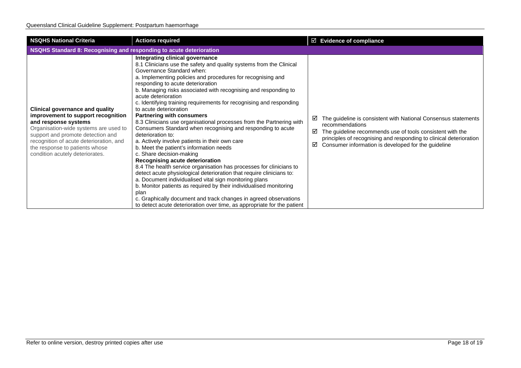| <b>NSQHS National Criteria</b>                                                                                                                                                                                                                                                                     | <b>Actions required</b>                                                                                                                                                                                                                                                                                                                                                                                                                                                                                                                                                                                                                                                                                                                                                                                                                                                                                                                                                                                                                                                                                                                                                                                                              | $\boxtimes$ Evidence of compliance                                                                                                                                                                                                                                                         |  |  |
|----------------------------------------------------------------------------------------------------------------------------------------------------------------------------------------------------------------------------------------------------------------------------------------------------|--------------------------------------------------------------------------------------------------------------------------------------------------------------------------------------------------------------------------------------------------------------------------------------------------------------------------------------------------------------------------------------------------------------------------------------------------------------------------------------------------------------------------------------------------------------------------------------------------------------------------------------------------------------------------------------------------------------------------------------------------------------------------------------------------------------------------------------------------------------------------------------------------------------------------------------------------------------------------------------------------------------------------------------------------------------------------------------------------------------------------------------------------------------------------------------------------------------------------------------|--------------------------------------------------------------------------------------------------------------------------------------------------------------------------------------------------------------------------------------------------------------------------------------------|--|--|
|                                                                                                                                                                                                                                                                                                    | NSQHS Standard 8: Recognising and responding to acute deterioration                                                                                                                                                                                                                                                                                                                                                                                                                                                                                                                                                                                                                                                                                                                                                                                                                                                                                                                                                                                                                                                                                                                                                                  |                                                                                                                                                                                                                                                                                            |  |  |
| <b>Clinical governance and quality</b><br>improvement to support recognition<br>and response systems<br>Organisation-wide systems are used to<br>support and promote detection and<br>recognition of acute deterioration, and<br>the response to patients whose<br>condition acutely deteriorates. | Integrating clinical governance<br>8.1 Clinicians use the safety and quality systems from the Clinical<br>Governance Standard when:<br>a. Implementing policies and procedures for recognising and<br>responding to acute deterioration<br>b. Managing risks associated with recognising and responding to<br>acute deterioration<br>c. Identifying training requirements for recognising and responding<br>to acute deterioration<br><b>Partnering with consumers</b><br>8.3 Clinicians use organisational processes from the Partnering with<br>Consumers Standard when recognising and responding to acute<br>deterioration to:<br>a. Actively involve patients in their own care<br>b. Meet the patient's information needs<br>c. Share decision-making<br>Recognising acute deterioration<br>8.4 The health service organisation has processes for clinicians to<br>detect acute physiological deterioration that require clinicians to:<br>a. Document individualised vital sign monitoring plans<br>b. Monitor patients as required by their individualised monitoring<br>plan<br>c. Graphically document and track changes in agreed observations<br>to detect acute deterioration over time, as appropriate for the patient | The guideline is consistent with National Consensus statements<br>⊻<br>recommendations<br>☑<br>The guideline recommends use of tools consistent with the<br>principles of recognising and responding to clinical deterioration<br>Consumer information is developed for the guideline<br>☑ |  |  |